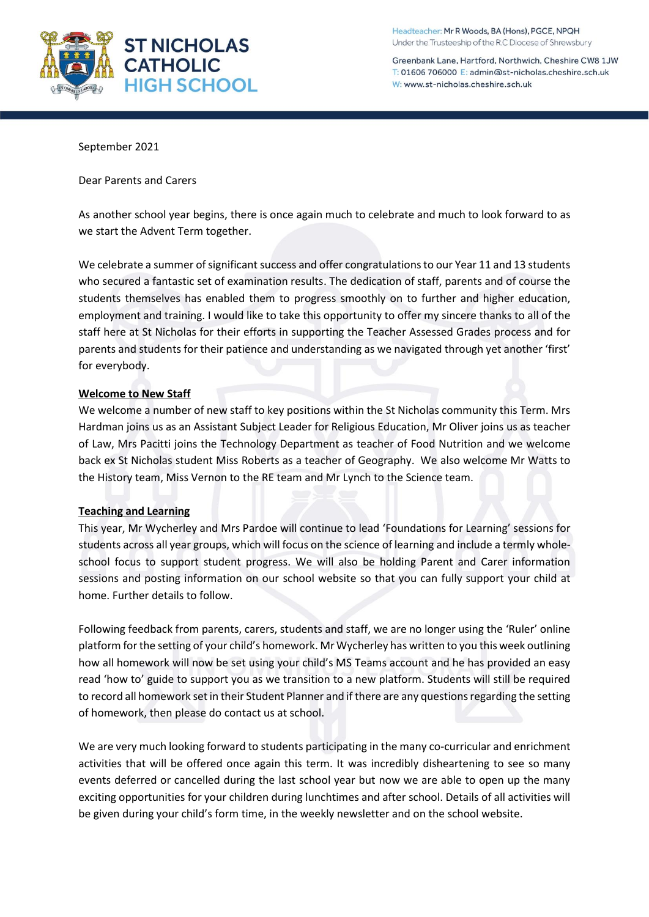

Headteacher: Mr R Woods, BA (Hons), PGCE, NPQH Under the Trusteeship of the R.C Diocese of Shrewsbury

Greenbank Lane, Hartford, Northwich, Cheshire CW8 1JW T: 01606 706000 E: admin@st-nicholas.cheshire.sch.uk W: www.st-nicholas.cheshire.sch.uk

September 2021

Dear Parents and Carers

As another school year begins, there is once again much to celebrate and much to look forward to as we start the Advent Term together.

We celebrate a summer of significant success and offer congratulations to our Year 11 and 13 students who secured a fantastic set of examination results. The dedication of staff, parents and of course the students themselves has enabled them to progress smoothly on to further and higher education, employment and training. I would like to take this opportunity to offer my sincere thanks to all of the staff here at St Nicholas for their efforts in supporting the Teacher Assessed Grades process and for parents and students for their patience and understanding as we navigated through yet another 'first' for everybody.

### **Welcome to New Staff**

We welcome a number of new staff to key positions within the St Nicholas community this Term. Mrs Hardman joins us as an Assistant Subject Leader for Religious Education, Mr Oliver joins us as teacher of Law, Mrs Pacitti joins the Technology Department as teacher of Food Nutrition and we welcome back ex St Nicholas student Miss Roberts as a teacher of Geography. We also welcome Mr Watts to the History team, Miss Vernon to the RE team and Mr Lynch to the Science team.

# **Teaching and Learning**

This year, Mr Wycherley and Mrs Pardoe will continue to lead 'Foundations for Learning' sessions for students across all year groups, which will focus on the science of learning and include a termly wholeschool focus to support student progress. We will also be holding Parent and Carer information sessions and posting information on our school website so that you can fully support your child at home. Further details to follow.

Following feedback from parents, carers, students and staff, we are no longer using the 'Ruler' online platform for the setting of your child's homework. Mr Wycherley has written to you this week outlining how all homework will now be set using your child's MS Teams account and he has provided an easy read 'how to' guide to support you as we transition to a new platform. Students will still be required to record all homework set in their Student Planner and if there are any questions regarding the setting of homework, then please do contact us at school.

We are very much looking forward to students participating in the many co-curricular and enrichment activities that will be offered once again this term. It was incredibly disheartening to see so many events deferred or cancelled during the last school year but now we are able to open up the many exciting opportunities for your children during lunchtimes and after school. Details of all activities will be given during your child's form time, in the weekly newsletter and on the school website.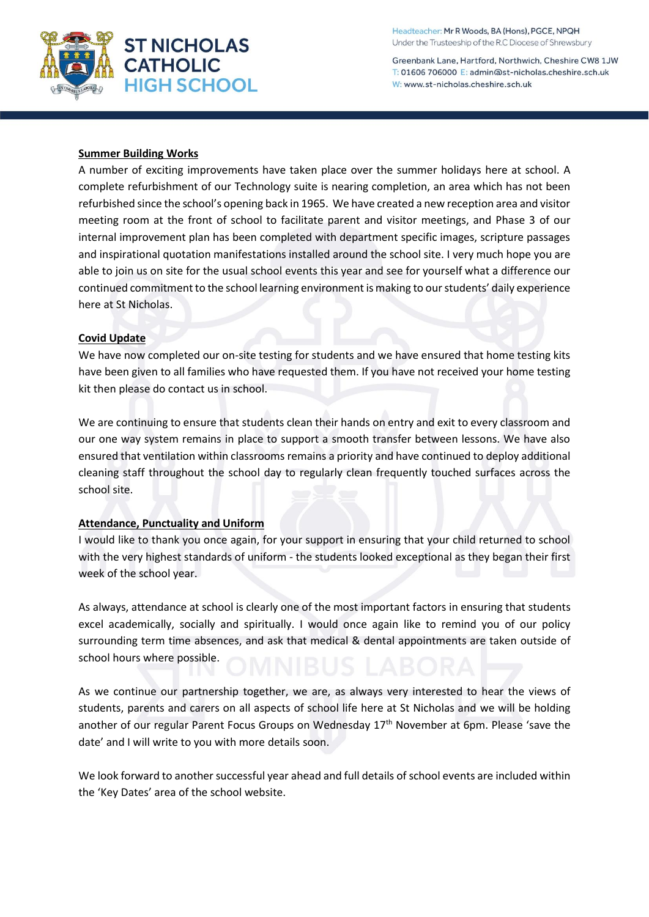

Headteacher: Mr R Woods, BA (Hons), PGCE, NPQH Under the Trusteeship of the R.C Diocese of Shrewsbury

Greenbank Lane, Hartford, Northwich, Cheshire CW8 1JW T: 01606 706000 E: admin@st-nicholas.cheshire.sch.uk W: www.st-nicholas.cheshire.sch.uk

# **Summer Building Works**

A number of exciting improvements have taken place over the summer holidays here at school. A complete refurbishment of our Technology suite is nearing completion, an area which has not been refurbished since the school's opening back in 1965. We have created a new reception area and visitor meeting room at the front of school to facilitate parent and visitor meetings, and Phase 3 of our internal improvement plan has been completed with department specific images, scripture passages and inspirational quotation manifestations installed around the school site. I very much hope you are able to join us on site for the usual school events this year and see for yourself what a difference our continued commitment to the school learning environment is making to our students' daily experience here at St Nicholas.

# **Covid Update**

We have now completed our on-site testing for students and we have ensured that home testing kits have been given to all families who have requested them. If you have not received your home testing kit then please do contact us in school.

We are continuing to ensure that students clean their hands on entry and exit to every classroom and our one way system remains in place to support a smooth transfer between lessons. We have also ensured that ventilation within classrooms remains a priority and have continued to deploy additional cleaning staff throughout the school day to regularly clean frequently touched surfaces across the school site.

# **Attendance, Punctuality and Uniform**

I would like to thank you once again, for your support in ensuring that your child returned to school with the very highest standards of uniform - the students looked exceptional as they began their first week of the school year.

As always, attendance at school is clearly one of the most important factors in ensuring that students excel academically, socially and spiritually. I would once again like to remind you of our policy surrounding term time absences, and ask that medical & dental appointments are taken outside of school hours where possible.

As we continue our partnership together, we are, as always very interested to hear the views of students, parents and carers on all aspects of school life here at St Nicholas and we will be holding another of our regular Parent Focus Groups on Wednesday 17<sup>th</sup> November at 6pm. Please 'save the date' and I will write to you with more details soon.

We look forward to another successful year ahead and full details of school events are included within the 'Key Dates' area of the school website.